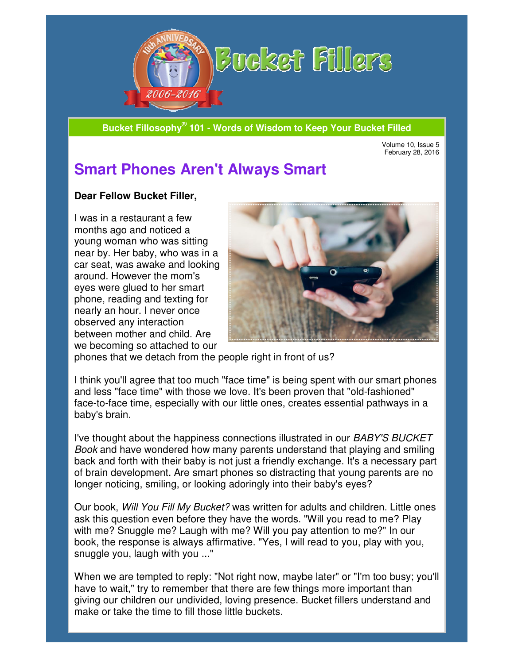

**Bucket Fillosophy® 101 101 - Words of Wisdom to Keep Your Bucket Filled**

Volume 10. Issue 5 February 28, 2016

# **Smart Phones Aren't Always Smart Smart**

#### **Dear Fellow Bucket Filler Filler,**

I was in a restaurant a few months ago and noticed a young woman who was sitting near by. Her baby, who was in a car seat, was awake and looking around. However the mom's eyes were glued to her smart phone, reading and texting for nearly an hour. I never once observed any interaction between mother and child. Are we becoming so attached to our I was in a restaurant a few<br>
months ago and noticed a<br>
young woman who was sitting<br>
near by. Her baby, who was in a<br>
car seat, was awake and looking<br>
around. However the mom's<br>
eyes were glued to her smart<br>
phone, reading



phones that we detach from the people right in front of us?

I think you'll agree that too much "face time" is being spent with our smart phones I think you'll agree that too much "face time" is being spent with our smart pho<br>and less "face time" with those we love. It's been proven that "old-fashioned" face-to-face time, especially with our little ones, creates essential pathways in a baby's brain.

I've thought about the happiness connections illustrated in our BABY'S BUCKET Book and have wondered how many parents understand that playing and smiling back and forth with their baby is not just a friendly exchange. It's a necessary part of brain development. Are smart phones so distracting that young parents are no longer noticing, smiling, or looking adoringly into their baby's eyes? that "old-fashioned"<br>essential pathways in a<br>in our *BABY'S BUCKET*<br>I that playing and smiling<br>nge. It's a necessary part<br>nat young parents are no<br>by's eyes?<br>s and children. Little ones

Our book, Will You Fill My Bucket? was written for adults and children. ask this question even before they have the words. "Will you read to me? Play with me? Snuggle me? Laugh with me? Will you pay attention to me?" In our book, the response is always affirmative. "Yes, I will read to you, play with you, snuggle you, laugh with you ..." ask this question even before they have the words. "Will you<br>with me? Snuggle me? Laugh with me? Will you pay attentic<br>book, the response is always affirmative. "Yes, I will read to<br>snuggle you, laugh with you ..."

When we are tempted to reply: "Not right now, maybe later" or "I'm too busy; you'll have to wait," try to remember that there are few things more important than giving our children our undivided, loving presence. Bucket fillers understand and make or take the time to fill those little buckets. When we are tempted to reply: "Not right now, maybe later" or "I'm too busy; you'<br>have to wait," try to remember that there are few things more important than<br>giving our children our undivided, loving presence. Bucket fill